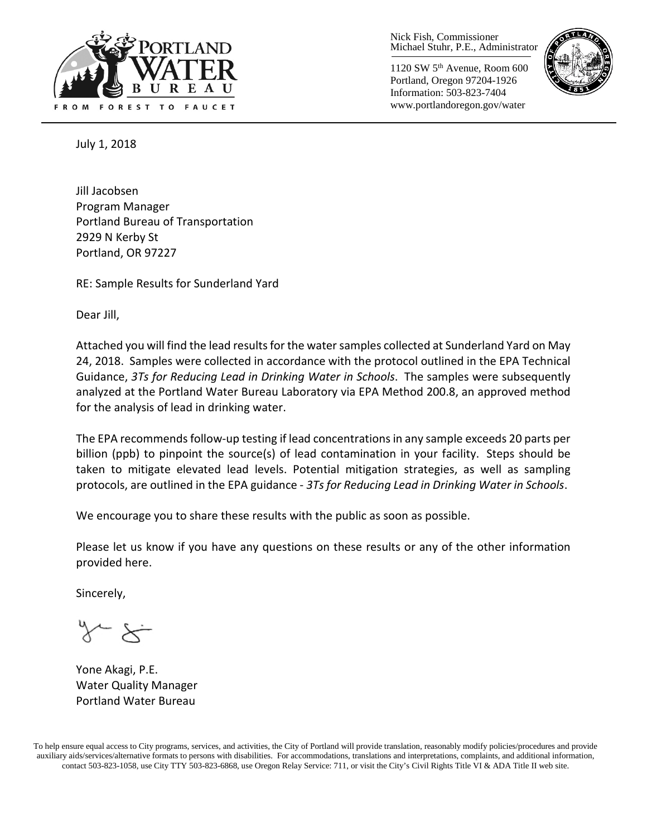

Nick Fish, Commissioner Michael Stuhr, P.E., Administrator

1120 SW 5th Avenue, Room 600 Portland, Oregon 97204-1926 Information: 503-823-7404 www.portlandoregon.gov/water



July 1, 2018

Jill Jacobsen Program Manager Portland Bureau of Transportation 2929 N Kerby St Portland, OR 97227

RE: Sample Results for Sunderland Yard

Dear Jill,

Attached you will find the lead results for the water samples collected at Sunderland Yard on May 24, 2018. Samples were collected in accordance with the protocol outlined in the EPA Technical Guidance, *3Ts for Reducing Lead in Drinking Water in Schools*. The samples were subsequently analyzed at the Portland Water Bureau Laboratory via EPA Method 200.8, an approved method for the analysis of lead in drinking water.

The EPA recommends follow-up testing if lead concentrations in any sample exceeds 20 parts per billion (ppb) to pinpoint the source(s) of lead contamination in your facility. Steps should be taken to mitigate elevated lead levels. Potential mitigation strategies, as well as sampling protocols, are outlined in the EPA guidance - *3Ts for Reducing Lead in Drinking Water in Schools*.

We encourage you to share these results with the public as soon as possible.

Please let us know if you have any questions on these results or any of the other information provided here.

Sincerely,

Yone Akagi, P.E. Water Quality Manager Portland Water Bureau

To help ensure equal access to City programs, services, and activities, the City of Portland will provide translation, reasonably modify policies/procedures and provide auxiliary aids/services/alternative formats to persons with disabilities. For accommodations, translations and interpretations, complaints, and additional information, contact 503-823-1058, use City TTY 503-823-6868, use Oregon Relay Service: 711, or visi[t the City's Civil Rights Title VI & ADA Title II web site.](http://www.portlandoregon.gov/oehr/66458)